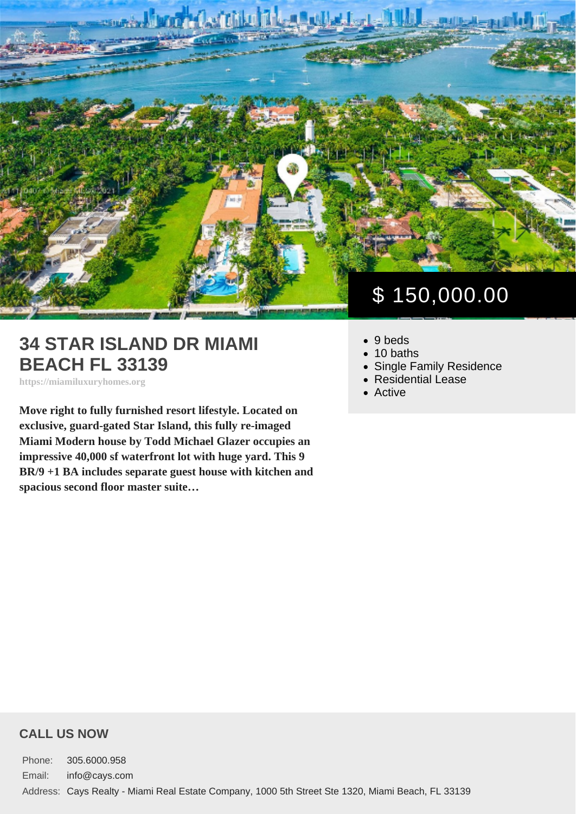# 34 STAR ISLAND DR MIAMI BEACH FL 33139

https://miamiluxuryhomes.org

Move right to fully furnished resort lifestyle. Located on exclusive, guard-gated Star Island, this fully re-imaged Miami Modern house by Todd Michael Glazer occupies an impressive 40,000 sf waterfront lot with huge yard. This 9 BR/9 +1 BA includes separate guest house with kitchen and spacious second floor master suite…

# \$ 150,000.00

- 9 beds
- $\bullet$  10 baths
- [Single Family Residence](https://miamiluxuryhomes.org/es_type/single-family-residence/)
- [Residential Lease](https://miamiluxuryhomes.org/es_category/residential-lease/)
- [Active](https://miamiluxuryhomes.org/es_status/active/)

#### CALL US NOW

Phone: 305.6000.958 Email: info@cays.com Address: Cays Realty - Miami Real Estate Company, 1000 5th Street Ste 1320, Miami Beach, FL 33139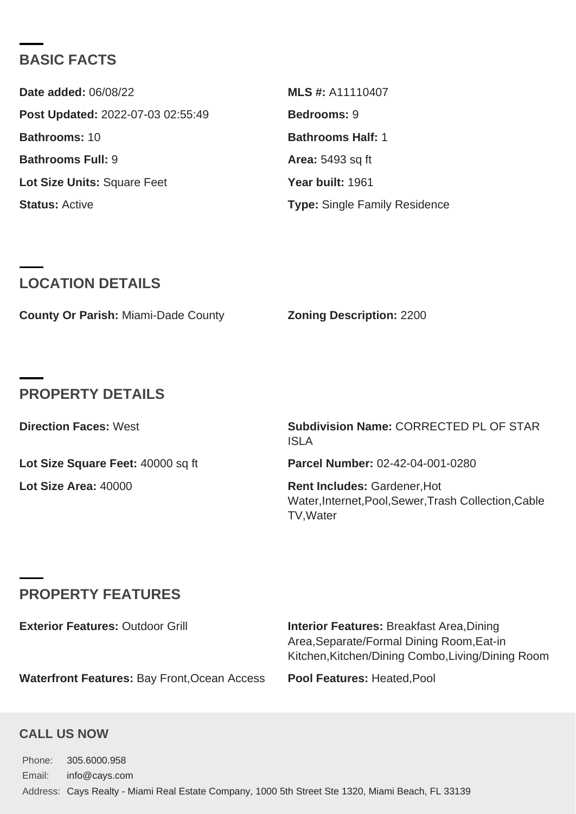## BASIC FACTS

| Date added: 06/08/22              | MLS #: A11110407                     |
|-----------------------------------|--------------------------------------|
| Post Updated: 2022-07-03 02:55:49 | Bedrooms: 9                          |
| Bathrooms: 10                     | Bathrooms Half: 1                    |
| Bathrooms Full: 9                 | Area: 5493 sq ft                     |
| Lot Size Units: Square Feet       | Year built: 1961                     |
| Status: Active                    | <b>Type: Single Family Residence</b> |

## LOCATION DETAILS

|  | County Or Parish: Miami-Dade County | Zoning Description: 2200 |  |
|--|-------------------------------------|--------------------------|--|
|--|-------------------------------------|--------------------------|--|

## PROPERTY DETAILS

| Direction Faces: West             | Subdivision Name: CORRECTED PL OF STAR<br><b>ISLA</b>                                                    |
|-----------------------------------|----------------------------------------------------------------------------------------------------------|
| Lot Size Square Feet: 40000 sq ft | Parcel Number: 02-42-04-001-0280                                                                         |
| Lot Size Area: 40000              | Rent Includes: Gardener, Hot<br>Water, Internet, Pool, Sewer, Trash Collection, Cable<br><b>TV.Water</b> |

# PROPERTY FEATURES

| Exterior Features: Outdoor Grill             | Interior Features: Breakfast Area, Dining<br>Area, Separate/Formal Dining Room, Eat-in<br>Kitchen, Kitchen/Dining Combo, Living/Dining Room |
|----------------------------------------------|---------------------------------------------------------------------------------------------------------------------------------------------|
| Waterfront Features: Bay Front, Ocean Access | Pool Features: Heated, Pool                                                                                                                 |

#### CALL US NOW

Phone: 305.6000.958 Email: info@cays.com Address: Cays Realty - Miami Real Estate Company, 1000 5th Street Ste 1320, Miami Beach, FL 33139